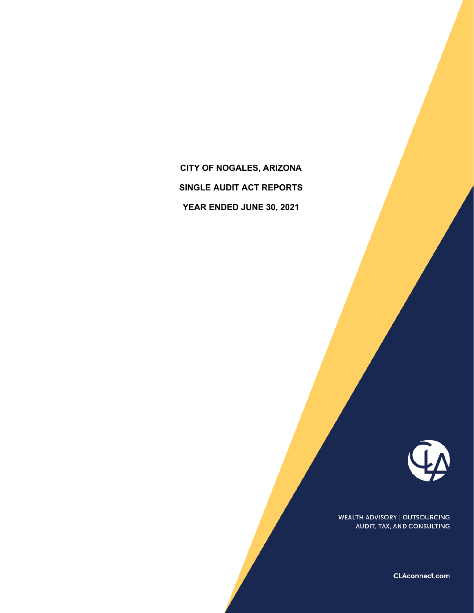# **CITY OF NOGALES, ARIZONA SINGLE AUDIT ACT REPORTS YEAR ENDED JUNE 30, 2021**



WEALTH ADVISORY | OUTSOURCING AUDIT, TAX, AND CONSULTING

CLAconnect.com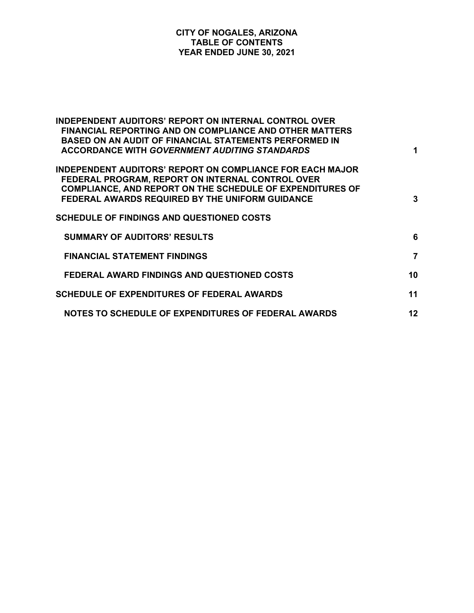# **CITY OF NOGALES, ARIZONA TABLE OF CONTENTS YEAR ENDED JUNE 30, 2021**

| <b>INDEPENDENT AUDITORS' REPORT ON INTERNAL CONTROL OVER</b><br><b>FINANCIAL REPORTING AND ON COMPLIANCE AND OTHER MATTERS</b><br><b>BASED ON AN AUDIT OF FINANCIAL STATEMENTS PERFORMED IN</b><br><b>ACCORDANCE WITH GOVERNMENT AUDITING STANDARDS</b> | 1              |
|---------------------------------------------------------------------------------------------------------------------------------------------------------------------------------------------------------------------------------------------------------|----------------|
| <b>INDEPENDENT AUDITORS' REPORT ON COMPLIANCE FOR EACH MAJOR</b><br>FEDERAL PROGRAM, REPORT ON INTERNAL CONTROL OVER<br><b>COMPLIANCE, AND REPORT ON THE SCHEDULE OF EXPENDITURES OF</b><br>FEDERAL AWARDS REQUIRED BY THE UNIFORM GUIDANCE             | 3              |
| <b>SCHEDULE OF FINDINGS AND QUESTIONED COSTS</b>                                                                                                                                                                                                        |                |
| <b>SUMMARY OF AUDITORS' RESULTS</b>                                                                                                                                                                                                                     | 6              |
| <b>FINANCIAL STATEMENT FINDINGS</b>                                                                                                                                                                                                                     | $\overline{7}$ |
| FEDERAL AWARD FINDINGS AND QUESTIONED COSTS                                                                                                                                                                                                             | 10             |
| <b>SCHEDULE OF EXPENDITURES OF FEDERAL AWARDS</b>                                                                                                                                                                                                       | 11             |
| NOTES TO SCHEDULE OF EXPENDITURES OF FEDERAL AWARDS                                                                                                                                                                                                     | 12             |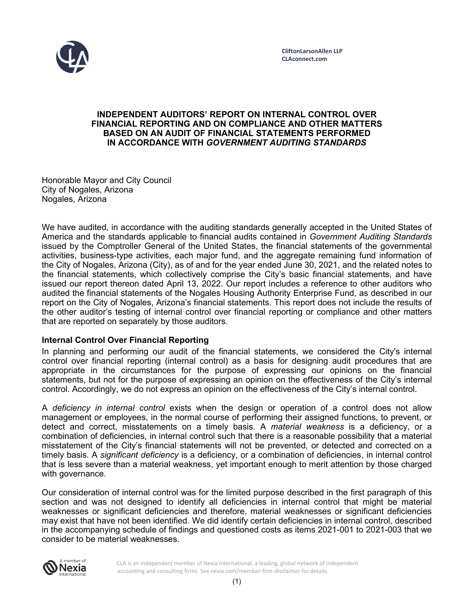

**CliftonLarsonAllen LLP CLAconnect.com**

#### **INDEPENDENT AUDITORS' REPORT ON INTERNAL CONTROL OVER FINANCIAL REPORTING AND ON COMPLIANCE AND OTHER MATTERS BASED ON AN AUDIT OF FINANCIAL STATEMENTS PERFORMED IN ACCORDANCE WITH** *GOVERNMENT AUDITING STANDARDS*

Honorable Mayor and City Council City of Nogales, Arizona Nogales, Arizona

We have audited, in accordance with the auditing standards generally accepted in the United States of America and the standards applicable to financial audits contained in *Government Auditing Standards* issued by the Comptroller General of the United States, the financial statements of the governmental activities, business-type activities, each major fund, and the aggregate remaining fund information of the City of Nogales, Arizona (City), as of and for the year ended June 30, 2021, and the related notes to the financial statements, which collectively comprise the City's basic financial statements, and have issued our report thereon dated April 13, 2022. Our report includes a reference to other auditors who audited the financial statements of the Nogales Housing Authority Enterprise Fund, as described in our report on the City of Nogales, Arizona's financial statements. This report does not include the results of the other auditor's testing of internal control over financial reporting or compliance and other matters that are reported on separately by those auditors.

# **Internal Control Over Financial Reporting**

In planning and performing our audit of the financial statements, we considered the City's internal control over financial reporting (internal control) as a basis for designing audit procedures that are appropriate in the circumstances for the purpose of expressing our opinions on the financial statements, but not for the purpose of expressing an opinion on the effectiveness of the City's internal control. Accordingly, we do not express an opinion on the effectiveness of the City's internal control.

A *deficiency in internal control* exists when the design or operation of a control does not allow management or employees, in the normal course of performing their assigned functions, to prevent, or detect and correct, misstatements on a timely basis. A *material weakness* is a deficiency, or a combination of deficiencies, in internal control such that there is a reasonable possibility that a material misstatement of the City's financial statements will not be prevented, or detected and corrected on a timely basis. A *significant deficiency* is a deficiency, or a combination of deficiencies, in internal control that is less severe than a material weakness, yet important enough to merit attention by those charged with governance.

Our consideration of internal control was for the limited purpose described in the first paragraph of this section and was not designed to identify all deficiencies in internal control that might be material weaknesses or significant deficiencies and therefore, material weaknesses or significant deficiencies may exist that have not been identified. We did identify certain deficiencies in internal control, described in the accompanying schedule of findings and questioned costs as items 2021-001 to 2021-003 that we consider to be material weaknesses.



CLA is an independent member of Nexia International, a leading, global network of independent accounting and consulting firms. See nexia.com/member-firm-disclaimer for details.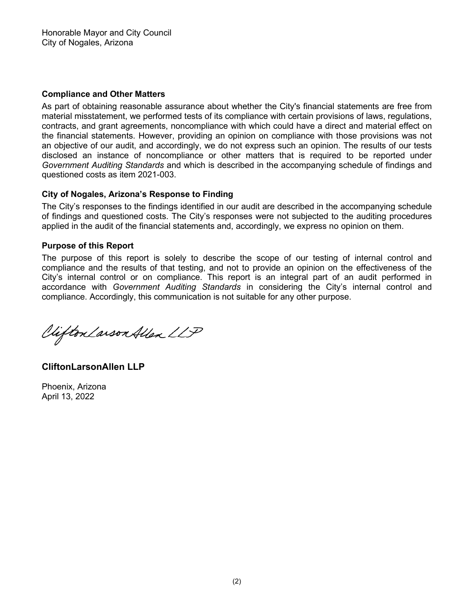#### **Compliance and Other Matters**

As part of obtaining reasonable assurance about whether the City's financial statements are free from material misstatement, we performed tests of its compliance with certain provisions of laws, regulations, contracts, and grant agreements, noncompliance with which could have a direct and material effect on the financial statements. However, providing an opinion on compliance with those provisions was not an objective of our audit, and accordingly, we do not express such an opinion. The results of our tests disclosed an instance of noncompliance or other matters that is required to be reported under *Government Auditing Standards* and which is described in the accompanying schedule of findings and questioned costs as item 2021-003.

#### **City of Nogales, Arizona's Response to Finding**

The City's responses to the findings identified in our audit are described in the accompanying schedule of findings and questioned costs. The City's responses were not subjected to the auditing procedures applied in the audit of the financial statements and, accordingly, we express no opinion on them.

# **Purpose of this Report**

The purpose of this report is solely to describe the scope of our testing of internal control and compliance and the results of that testing, and not to provide an opinion on the effectiveness of the City's internal control or on compliance. This report is an integral part of an audit performed in accordance with *Government Auditing Standards* in considering the City's internal control and compliance. Accordingly, this communication is not suitable for any other purpose.

Viifton Larson Allen LLP

**CliftonLarsonAllen LLP** 

Phoenix, Arizona April 13, 2022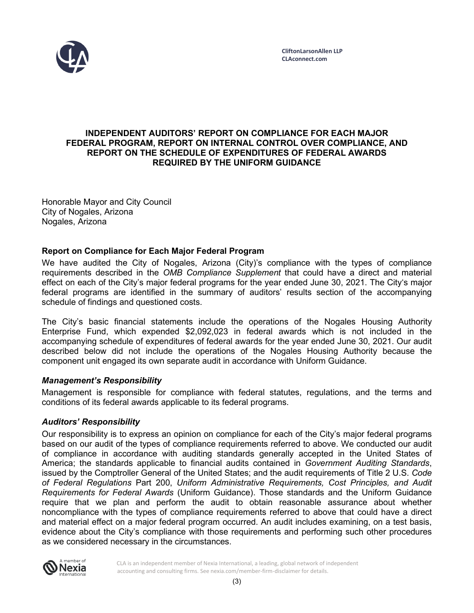

#### **INDEPENDENT AUDITORS' REPORT ON COMPLIANCE FOR EACH MAJOR FEDERAL PROGRAM, REPORT ON INTERNAL CONTROL OVER COMPLIANCE, AND REPORT ON THE SCHEDULE OF EXPENDITURES OF FEDERAL AWARDS REQUIRED BY THE UNIFORM GUIDANCE**

Honorable Mayor and City Council City of Nogales, Arizona Nogales, Arizona

# **Report on Compliance for Each Major Federal Program**

We have audited the City of Nogales, Arizona (City)'s compliance with the types of compliance requirements described in the *OMB Compliance Supplement* that could have a direct and material effect on each of the City's major federal programs for the year ended June 30, 2021. The City's major federal programs are identified in the summary of auditors' results section of the accompanying schedule of findings and questioned costs.

The City's basic financial statements include the operations of the Nogales Housing Authority Enterprise Fund, which expended \$2,092,023 in federal awards which is not included in the accompanying schedule of expenditures of federal awards for the year ended June 30, 2021. Our audit described below did not include the operations of the Nogales Housing Authority because the component unit engaged its own separate audit in accordance with Uniform Guidance.

# *Management's Responsibility*

Management is responsible for compliance with federal statutes, regulations, and the terms and conditions of its federal awards applicable to its federal programs.

# *Auditors' Responsibility*

Our responsibility is to express an opinion on compliance for each of the City's major federal programs based on our audit of the types of compliance requirements referred to above. We conducted our audit of compliance in accordance with auditing standards generally accepted in the United States of America; the standards applicable to financial audits contained in *Government Auditing Standards*, issued by the Comptroller General of the United States; and the audit requirements of Title 2 U.S. *Code of Federal Regulations* Part 200, *Uniform Administrative Requirements, Cost Principles, and Audit Requirements for Federal Awards* (Uniform Guidance). Those standards and the Uniform Guidance require that we plan and perform the audit to obtain reasonable assurance about whether noncompliance with the types of compliance requirements referred to above that could have a direct and material effect on a major federal program occurred. An audit includes examining, on a test basis, evidence about the City's compliance with those requirements and performing such other procedures as we considered necessary in the circumstances.



CLA is an independent member of Nexia International, a leading, global network of independent accounting and consulting firms. See nexia.com/member-firm-disclaimer for details.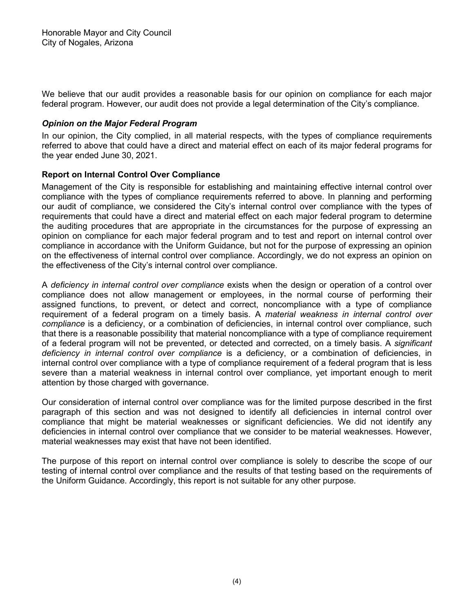We believe that our audit provides a reasonable basis for our opinion on compliance for each major federal program. However, our audit does not provide a legal determination of the City's compliance.

## *Opinion on the Major Federal Program*

In our opinion, the City complied, in all material respects, with the types of compliance requirements referred to above that could have a direct and material effect on each of its major federal programs for the year ended June 30, 2021.

#### **Report on Internal Control Over Compliance**

Management of the City is responsible for establishing and maintaining effective internal control over compliance with the types of compliance requirements referred to above. In planning and performing our audit of compliance, we considered the City's internal control over compliance with the types of requirements that could have a direct and material effect on each major federal program to determine the auditing procedures that are appropriate in the circumstances for the purpose of expressing an opinion on compliance for each major federal program and to test and report on internal control over compliance in accordance with the Uniform Guidance, but not for the purpose of expressing an opinion on the effectiveness of internal control over compliance. Accordingly, we do not express an opinion on the effectiveness of the City's internal control over compliance.

A *deficiency in internal control over compliance* exists when the design or operation of a control over compliance does not allow management or employees, in the normal course of performing their assigned functions, to prevent, or detect and correct, noncompliance with a type of compliance requirement of a federal program on a timely basis. A *material weakness in internal control over compliance* is a deficiency, or a combination of deficiencies, in internal control over compliance, such that there is a reasonable possibility that material noncompliance with a type of compliance requirement of a federal program will not be prevented, or detected and corrected, on a timely basis. A *significant deficiency in internal control over compliance* is a deficiency, or a combination of deficiencies, in internal control over compliance with a type of compliance requirement of a federal program that is less severe than a material weakness in internal control over compliance, yet important enough to merit attention by those charged with governance.

Our consideration of internal control over compliance was for the limited purpose described in the first paragraph of this section and was not designed to identify all deficiencies in internal control over compliance that might be material weaknesses or significant deficiencies. We did not identify any deficiencies in internal control over compliance that we consider to be material weaknesses. However, material weaknesses may exist that have not been identified.

The purpose of this report on internal control over compliance is solely to describe the scope of our testing of internal control over compliance and the results of that testing based on the requirements of the Uniform Guidance. Accordingly, this report is not suitable for any other purpose.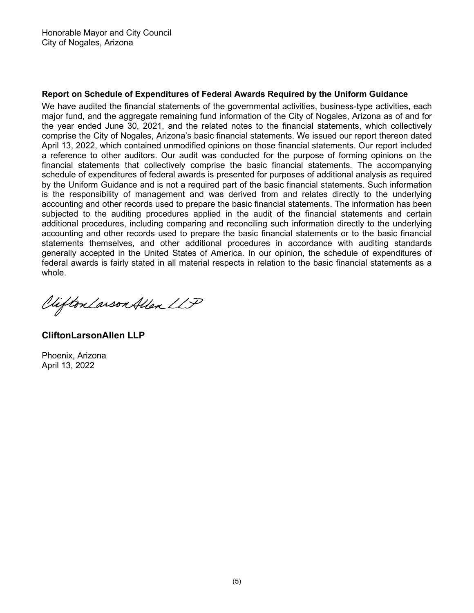# **Report on Schedule of Expenditures of Federal Awards Required by the Uniform Guidance**

We have audited the financial statements of the governmental activities, business-type activities, each major fund, and the aggregate remaining fund information of the City of Nogales, Arizona as of and for the year ended June 30, 2021, and the related notes to the financial statements, which collectively comprise the City of Nogales, Arizona's basic financial statements. We issued our report thereon dated April 13, 2022, which contained unmodified opinions on those financial statements. Our report included a reference to other auditors. Our audit was conducted for the purpose of forming opinions on the financial statements that collectively comprise the basic financial statements. The accompanying schedule of expenditures of federal awards is presented for purposes of additional analysis as required by the Uniform Guidance and is not a required part of the basic financial statements. Such information is the responsibility of management and was derived from and relates directly to the underlying accounting and other records used to prepare the basic financial statements. The information has been subjected to the auditing procedures applied in the audit of the financial statements and certain additional procedures, including comparing and reconciling such information directly to the underlying accounting and other records used to prepare the basic financial statements or to the basic financial statements themselves, and other additional procedures in accordance with auditing standards generally accepted in the United States of America. In our opinion, the schedule of expenditures of federal awards is fairly stated in all material respects in relation to the basic financial statements as a whole.

Viifton Larson Allen LLP

**CliftonLarsonAllen LLP**

Phoenix, Arizona April 13, 2022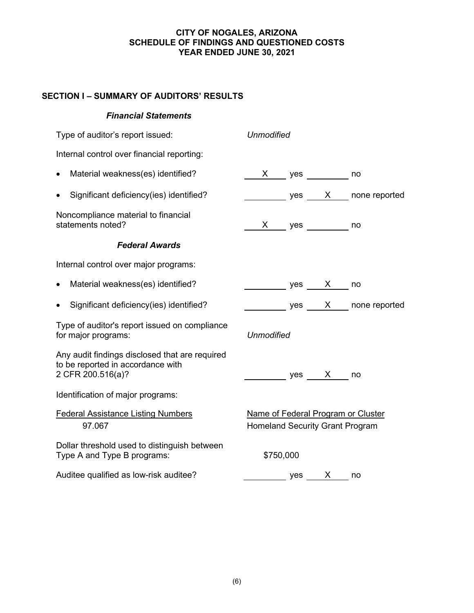# **SECTION I – SUMMARY OF AUDITORS' RESULTS**

# *Financial Statements*

| Type of auditor's report issued:                                                                         | <b>Unmodified</b>                                                            |  |                                               |
|----------------------------------------------------------------------------------------------------------|------------------------------------------------------------------------------|--|-----------------------------------------------|
| Internal control over financial reporting:                                                               |                                                                              |  |                                               |
| Material weakness(es) identified?                                                                        | X yes ________ no                                                            |  |                                               |
| Significant deficiency(ies) identified?                                                                  |                                                                              |  | yes X none reported                           |
| Noncompliance material to financial<br>statements noted?                                                 | <u>X</u> yes ________ no                                                     |  |                                               |
| <b>Federal Awards</b>                                                                                    |                                                                              |  |                                               |
| Internal control over major programs:                                                                    |                                                                              |  |                                               |
| Material weakness(es) identified?<br>$\bullet$                                                           | _____________ yes _____ X ____ no                                            |  |                                               |
| Significant deficiency(ies) identified?                                                                  |                                                                              |  | $\frac{1}{2}$ yes $\frac{X}{2}$ none reported |
| Type of auditor's report issued on compliance<br>for major programs:                                     | <b>Unmodified</b>                                                            |  |                                               |
| Any audit findings disclosed that are required<br>to be reported in accordance with<br>2 CFR 200.516(a)? | ___________ yes ____ X ____ no                                               |  |                                               |
| Identification of major programs:                                                                        |                                                                              |  |                                               |
| <b>Federal Assistance Listing Numbers</b><br>97.067                                                      | Name of Federal Program or Cluster<br><b>Homeland Security Grant Program</b> |  |                                               |
| Dollar threshold used to distinguish between<br>Type A and Type B programs:                              | \$750,000                                                                    |  |                                               |
| Auditee qualified as low-risk auditee?                                                                   | _________ yes ____ X ____ no                                                 |  |                                               |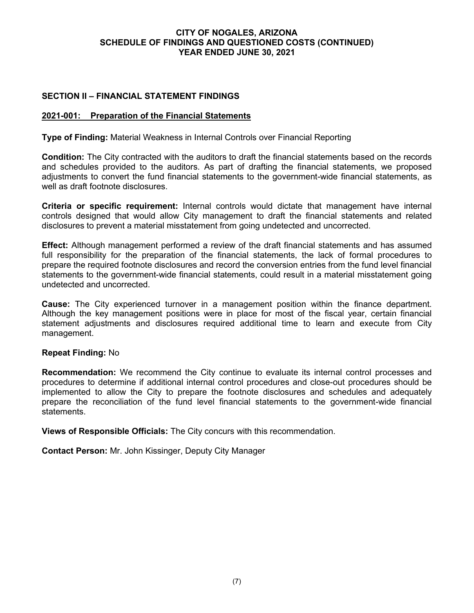## **SECTION II – FINANCIAL STATEMENT FINDINGS**

#### **2021-001: Preparation of the Financial Statements**

**Type of Finding:** Material Weakness in Internal Controls over Financial Reporting

**Condition:** The City contracted with the auditors to draft the financial statements based on the records and schedules provided to the auditors. As part of drafting the financial statements, we proposed adjustments to convert the fund financial statements to the government-wide financial statements, as well as draft footnote disclosures.

**Criteria or specific requirement:** Internal controls would dictate that management have internal controls designed that would allow City management to draft the financial statements and related disclosures to prevent a material misstatement from going undetected and uncorrected.

**Effect:** Although management performed a review of the draft financial statements and has assumed full responsibility for the preparation of the financial statements, the lack of formal procedures to prepare the required footnote disclosures and record the conversion entries from the fund level financial statements to the government-wide financial statements, could result in a material misstatement going undetected and uncorrected.

**Cause:** The City experienced turnover in a management position within the finance department. Although the key management positions were in place for most of the fiscal year, certain financial statement adjustments and disclosures required additional time to learn and execute from City management.

#### **Repeat Finding:** No

**Recommendation:** We recommend the City continue to evaluate its internal control processes and procedures to determine if additional internal control procedures and close-out procedures should be implemented to allow the City to prepare the footnote disclosures and schedules and adequately prepare the reconciliation of the fund level financial statements to the government-wide financial statements.

**Views of Responsible Officials:** The City concurs with this recommendation.

**Contact Person:** Mr. John Kissinger, Deputy City Manager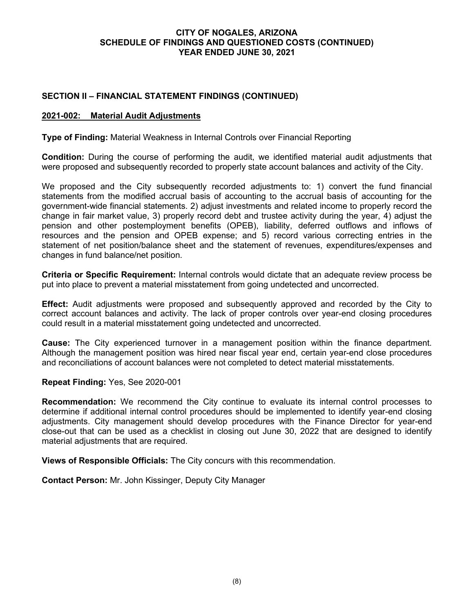# **SECTION II – FINANCIAL STATEMENT FINDINGS (CONTINUED)**

#### **2021-002: Material Audit Adjustments**

**Type of Finding:** Material Weakness in Internal Controls over Financial Reporting

**Condition:** During the course of performing the audit, we identified material audit adjustments that were proposed and subsequently recorded to properly state account balances and activity of the City.

We proposed and the City subsequently recorded adjustments to: 1) convert the fund financial statements from the modified accrual basis of accounting to the accrual basis of accounting for the government-wide financial statements. 2) adjust investments and related income to properly record the change in fair market value, 3) properly record debt and trustee activity during the year, 4) adjust the pension and other postemployment benefits (OPEB), liability, deferred outflows and inflows of resources and the pension and OPEB expense; and 5) record various correcting entries in the statement of net position/balance sheet and the statement of revenues, expenditures/expenses and changes in fund balance/net position.

**Criteria or Specific Requirement:** Internal controls would dictate that an adequate review process be put into place to prevent a material misstatement from going undetected and uncorrected.

**Effect:** Audit adjustments were proposed and subsequently approved and recorded by the City to correct account balances and activity. The lack of proper controls over year-end closing procedures could result in a material misstatement going undetected and uncorrected.

**Cause:** The City experienced turnover in a management position within the finance department. Although the management position was hired near fiscal year end, certain year-end close procedures and reconciliations of account balances were not completed to detect material misstatements.

#### **Repeat Finding:** Yes, See 2020-001

**Recommendation:** We recommend the City continue to evaluate its internal control processes to determine if additional internal control procedures should be implemented to identify year-end closing adjustments. City management should develop procedures with the Finance Director for year-end close-out that can be used as a checklist in closing out June 30, 2022 that are designed to identify material adjustments that are required.

**Views of Responsible Officials:** The City concurs with this recommendation.

**Contact Person:** Mr. John Kissinger, Deputy City Manager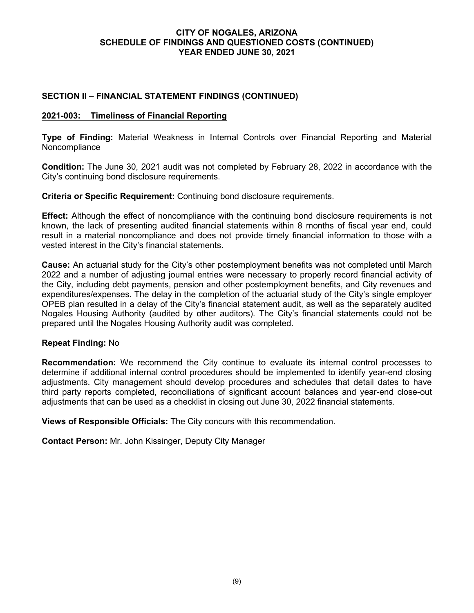## **SECTION II – FINANCIAL STATEMENT FINDINGS (CONTINUED)**

#### **2021-003: Timeliness of Financial Reporting**

**Type of Finding:** Material Weakness in Internal Controls over Financial Reporting and Material Noncompliance

**Condition:** The June 30, 2021 audit was not completed by February 28, 2022 in accordance with the City's continuing bond disclosure requirements.

**Criteria or Specific Requirement:** Continuing bond disclosure requirements.

**Effect:** Although the effect of noncompliance with the continuing bond disclosure requirements is not known, the lack of presenting audited financial statements within 8 months of fiscal year end, could result in a material noncompliance and does not provide timely financial information to those with a vested interest in the City's financial statements.

**Cause:** An actuarial study for the City's other postemployment benefits was not completed until March 2022 and a number of adjusting journal entries were necessary to properly record financial activity of the City, including debt payments, pension and other postemployment benefits, and City revenues and expenditures/expenses. The delay in the completion of the actuarial study of the City's single employer OPEB plan resulted in a delay of the City's financial statement audit, as well as the separately audited Nogales Housing Authority (audited by other auditors). The City's financial statements could not be prepared until the Nogales Housing Authority audit was completed.

#### **Repeat Finding:** No

**Recommendation:** We recommend the City continue to evaluate its internal control processes to determine if additional internal control procedures should be implemented to identify year-end closing adjustments. City management should develop procedures and schedules that detail dates to have third party reports completed, reconciliations of significant account balances and year-end close-out adjustments that can be used as a checklist in closing out June 30, 2022 financial statements.

**Views of Responsible Officials:** The City concurs with this recommendation.

**Contact Person:** Mr. John Kissinger, Deputy City Manager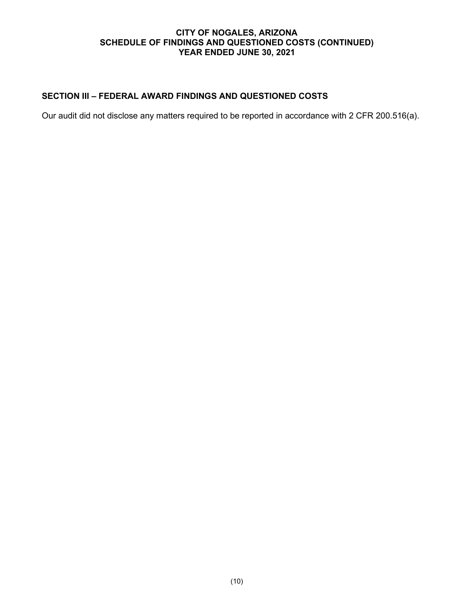# **SECTION III – FEDERAL AWARD FINDINGS AND QUESTIONED COSTS**

Our audit did not disclose any matters required to be reported in accordance with 2 CFR 200.516(a).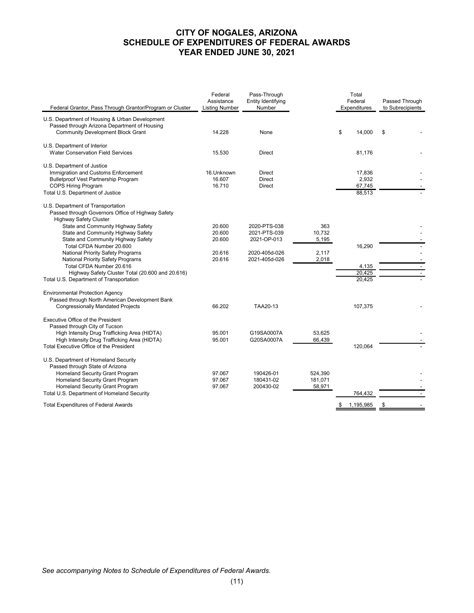# **CITY OF NOGALES, ARIZONA SCHEDULE OF EXPENDITURES OF FEDERAL AWARDS YEAR ENDED JUNE 30, 2021**

|                                                                                                                                                                                    | Federal<br>Assistance          | Pass-Through<br>Entity Identifying              |                              | Total<br>Federal                    | Passed Through           |
|------------------------------------------------------------------------------------------------------------------------------------------------------------------------------------|--------------------------------|-------------------------------------------------|------------------------------|-------------------------------------|--------------------------|
| Federal Grantor, Pass Through Grantor/Program or Cluster                                                                                                                           | <b>Listing Number</b>          | Number                                          |                              | Expenditures                        | to Subrecipients         |
| U.S. Department of Housing & Urban Development<br>Passed through Arizona Department of Housing<br><b>Community Development Block Grant</b>                                         | 14.228                         | None                                            |                              | \$<br>14,000                        | \$                       |
| U.S. Department of Interior<br><b>Water Conservation Field Services</b>                                                                                                            | 15.530                         | Direct                                          |                              | 81,176                              |                          |
| U.S. Department of Justice<br>Immigration and Customs Enforcement<br><b>Bulletproof Vest Partnership Program</b><br><b>COPS Hiring Program</b><br>Total U.S. Department of Justice | 16.Unknown<br>16.607<br>16.710 | <b>Direct</b><br><b>Direct</b><br><b>Direct</b> |                              | 17,836<br>2,932<br>67,745<br>88,513 |                          |
| U.S. Department of Transportation<br>Passed through Governors Office of Highway Safety<br><b>Highway Safety Cluster</b>                                                            |                                |                                                 |                              |                                     |                          |
| State and Community Highway Safety                                                                                                                                                 | 20.600                         | 2020-PTS-038                                    | 363                          |                                     |                          |
| State and Community Highway Safety                                                                                                                                                 | 20.600                         | 2021-PTS-039                                    | 10,732                       |                                     |                          |
| State and Community Highway Safety                                                                                                                                                 | 20.600                         | 2021-OP-013                                     | 5,195                        |                                     |                          |
| Total CFDA Number 20.600                                                                                                                                                           |                                |                                                 |                              | 16,290                              |                          |
| National Priority Safety Programs                                                                                                                                                  | 20.616                         | 2020-405d-026                                   | 2,117                        |                                     |                          |
| National Priority Safety Programs<br>Total CFDA Number 20.616                                                                                                                      | 20.616                         | 2021-405d-026                                   | 2,018                        | 4,135                               | $\overline{\phantom{a}}$ |
| Highway Safety Cluster Total (20.600 and 20.616)                                                                                                                                   |                                |                                                 |                              | 20,425                              | $\blacksquare$           |
| Total U.S. Department of Transportation                                                                                                                                            |                                |                                                 |                              | 20,425                              |                          |
| <b>Environmental Protection Agency</b><br>Passed through North American Development Bank<br><b>Congressionally Mandated Projects</b>                                               | 66.202                         | TAA20-13                                        |                              | 107,375                             |                          |
| Executive Office of the President                                                                                                                                                  |                                |                                                 |                              |                                     |                          |
| Passed through City of Tucson                                                                                                                                                      |                                |                                                 |                              |                                     |                          |
| High Intensity Drug Trafficking Area (HIDTA)                                                                                                                                       | 95.001                         | G19SA0007A                                      | 53,625                       |                                     |                          |
| High Intensity Drug Trafficking Area (HIDTA)                                                                                                                                       | 95.001                         | G20SA0007A                                      | 66,439                       |                                     |                          |
| Total Executive Office of the President                                                                                                                                            |                                |                                                 |                              | 120,064                             |                          |
| U.S. Department of Homeland Security<br>Passed through State of Arizona<br>Homeland Security Grant Program<br>Homeland Security Grant Program<br>Homeland Security Grant Program   | 97.067<br>97.067<br>97.067     | 190426-01<br>180431-02<br>200430-02             | 524,390<br>181,071<br>58,971 |                                     |                          |
| Total U.S. Department of Homeland Security                                                                                                                                         |                                |                                                 |                              | 764,432                             |                          |
| <b>Total Expenditures of Federal Awards</b>                                                                                                                                        |                                |                                                 |                              | 1,195,985<br>\$                     | \$                       |
|                                                                                                                                                                                    |                                |                                                 |                              |                                     |                          |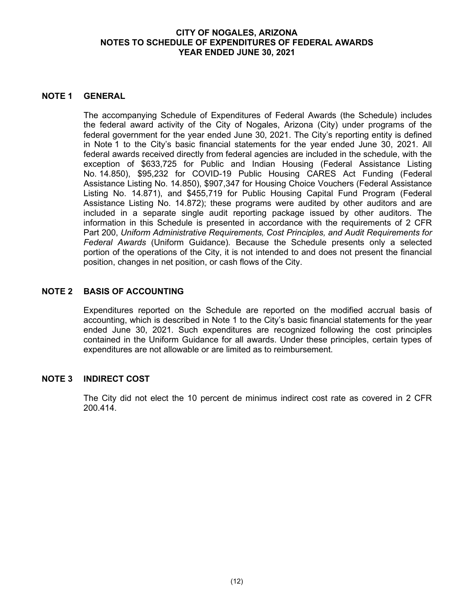#### **CITY OF NOGALES, ARIZONA NOTES TO SCHEDULE OF EXPENDITURES OF FEDERAL AWARDS YEAR ENDED JUNE 30, 2021**

#### **NOTE 1 GENERAL**

The accompanying Schedule of Expenditures of Federal Awards (the Schedule) includes the federal award activity of the City of Nogales, Arizona (City) under programs of the federal government for the year ended June 30, 2021. The City's reporting entity is defined in Note 1 to the City's basic financial statements for the year ended June 30, 2021. All federal awards received directly from federal agencies are included in the schedule, with the exception of \$633,725 for Public and Indian Housing (Federal Assistance Listing No. 14.850), \$95,232 for COVID-19 Public Housing CARES Act Funding (Federal Assistance Listing No. 14.850), \$907,347 for Housing Choice Vouchers (Federal Assistance Listing No. 14.871), and \$455,719 for Public Housing Capital Fund Program (Federal Assistance Listing No. 14.872); these programs were audited by other auditors and are included in a separate single audit reporting package issued by other auditors. The information in this Schedule is presented in accordance with the requirements of 2 CFR Part 200, *Uniform Administrative Requirements, Cost Principles, and Audit Requirements for Federal Awards* (Uniform Guidance)*.* Because the Schedule presents only a selected portion of the operations of the City, it is not intended to and does not present the financial position, changes in net position, or cash flows of the City.

#### **NOTE 2 BASIS OF ACCOUNTING**

Expenditures reported on the Schedule are reported on the modified accrual basis of accounting, which is described in Note 1 to the City's basic financial statements for the year ended June 30, 2021. Such expenditures are recognized following the cost principles contained in the Uniform Guidance for all awards. Under these principles, certain types of expenditures are not allowable or are limited as to reimbursement.

#### **NOTE 3 INDIRECT COST**

The City did not elect the 10 percent de minimus indirect cost rate as covered in 2 CFR 200.414.